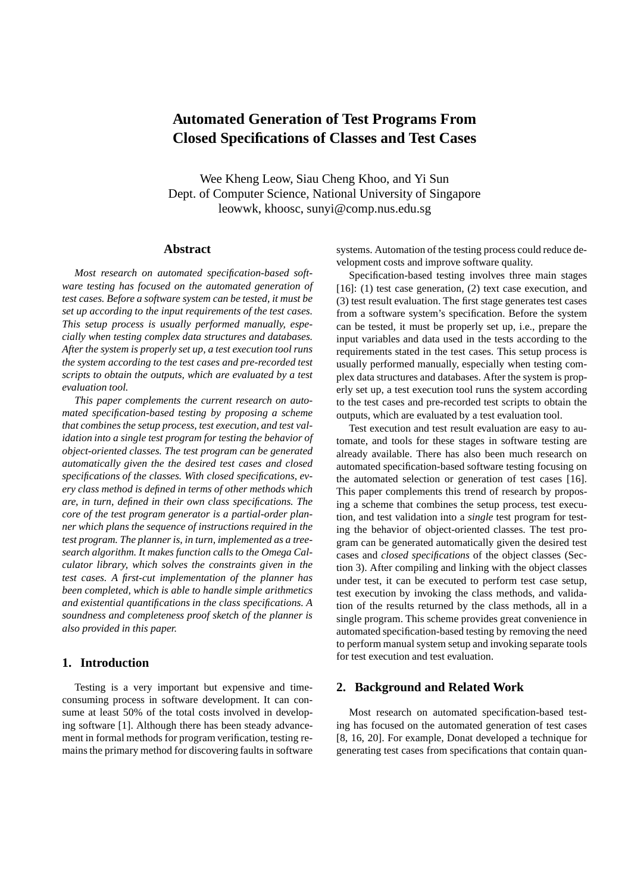# **Automated Generation of Test Programs From Closed Specifications of Classes and Test Cases**

Wee Kheng Leow, Siau Cheng Khoo, and Yi Sun Dept. of Computer Science, National University of Singapore leowwk, khoosc, sunyi@comp.nus.edu.sg

## **Abstract**

*Most research on automated specification-based software testing has focused on the automated generation of test cases. Before a software system can be tested, it must be set up according to the input requirements of the test cases. This setup process is usually performed manually, especially when testing complex data structures and databases. After the system is properly set up, a test execution tool runs the system according to the test cases and pre-recorded test scripts to obtain the outputs, which are evaluated by a test evaluation tool.*

*This paper complements the current research on automated specification-based testing by proposing a scheme that combines the setup process, test execution, and test validation into a single test program for testing the behavior of object-oriented classes. The test program can be generated automatically given the the desired test cases and closed specifications of the classes. With closed specifications, every class method is defined in terms of other methods which are, in turn, defined in their own class specifications. The core of the test program generator is a partial-order planner which plans the sequence of instructions required in the test program. The planner is, in turn, implemented as a treesearch algorithm. It makes function calls to the Omega Calculator library, which solves the constraints given in the test cases. A first-cut implementation of the planner has been completed, which is able to handle simple arithmetics and existential quantifications in the class specifications. A soundness and completeness proof sketch of the planner is also provided in this paper.*

# **1. Introduction**

Testing is a very important but expensive and timeconsuming process in software development. It can consume at least 50% of the total costs involved in developing software [1]. Although there has been steady advancement in formal methods for program verification, testing remains the primary method for discovering faults in software systems. Automation of the testing process could reduce development costs and improve software quality.

Specification-based testing involves three main stages [16]: (1) test case generation, (2) text case execution, and (3) test result evaluation. The first stage generates test cases from a software system's specification. Before the system can be tested, it must be properly set up, i.e., prepare the input variables and data used in the tests according to the requirements stated in the test cases. This setup process is usually performed manually, especially when testing complex data structures and databases. After the system is properly set up, a test execution tool runs the system according to the test cases and pre-recorded test scripts to obtain the outputs, which are evaluated by a test evaluation tool.

Test execution and test result evaluation are easy to automate, and tools for these stages in software testing are already available. There has also been much research on automated specification-based software testing focusing on the automated selection or generation of test cases [16]. This paper complements this trend of research by proposing a scheme that combines the setup process, test execution, and test validation into a *single* test program for testing the behavior of object-oriented classes. The test program can be generated automatically given the desired test cases and *closed specifications* of the object classes (Section 3). After compiling and linking with the object classes under test, it can be executed to perform test case setup, test execution by invoking the class methods, and validation of the results returned by the class methods, all in a single program. This scheme provides great convenience in automated specification-based testing by removing the need to perform manual system setup and invoking separate tools for test execution and test evaluation.

#### **2. Background and Related Work**

Most research on automated specification-based testing has focused on the automated generation of test cases [8, 16, 20]. For example, Donat developed a technique for generating test cases from specifications that contain quan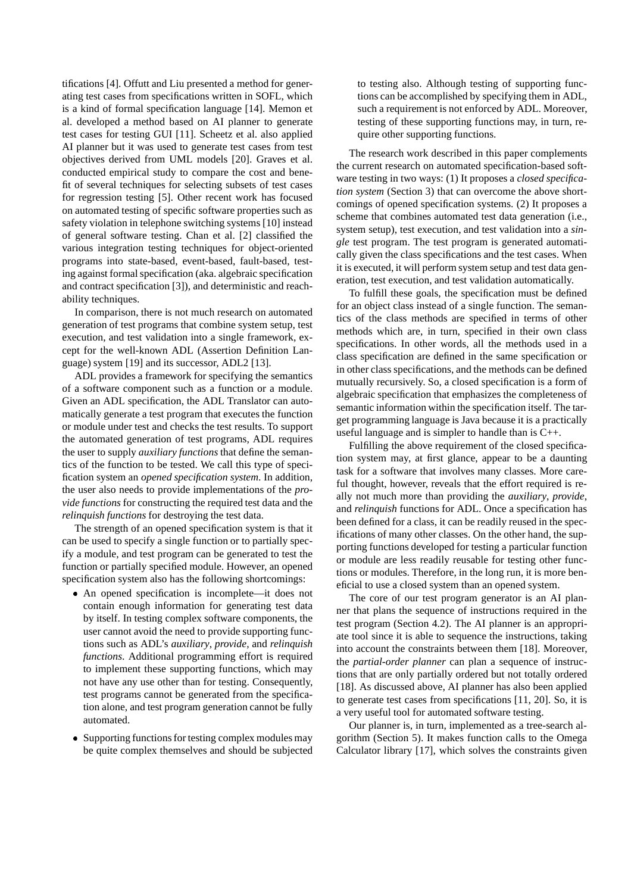tifications [4]. Offutt and Liu presented a method for generating test cases from specifications written in SOFL, which is a kind of formal specification language [14]. Memon et al. developed a method based on AI planner to generate test cases for testing GUI [11]. Scheetz et al. also applied AI planner but it was used to generate test cases from test objectives derived from UML models [20]. Graves et al. conducted empirical study to compare the cost and benefit of several techniques for selecting subsets of test cases for regression testing [5]. Other recent work has focused on automated testing of specific software properties such as safety violation in telephone switching systems [10] instead of general software testing. Chan et al. [2] classified the various integration testing techniques for object-oriented programs into state-based, event-based, fault-based, testing against formal specification (aka. algebraic specification and contract specification [3]), and deterministic and reachability techniques.

In comparison, there is not much research on automated generation of test programs that combine system setup, test execution, and test validation into a single framework, except for the well-known ADL (Assertion Definition Language) system [19] and its successor, ADL2 [13].

ADL provides a framework for specifying the semantics of a software component such as a function or a module. Given an ADL specification, the ADL Translator can automatically generate a test program that executes the function or module under test and checks the test results. To support the automated generation of test programs, ADL requires the user to supply *auxiliary functions* that define the semantics of the function to be tested. We call this type of specification system an *opened specification system*. In addition, the user also needs to provide implementations of the *provide functions* for constructing the required test data and the *relinquish functions* for destroying the test data.

The strength of an opened specification system is that it can be used to specify a single function or to partially specify a module, and test program can be generated to test the function or partially specified module. However, an opened specification system also has the following shortcomings:

- An opened specification is incomplete—it does not contain enough information for generating test data by itself. In testing complex software components, the user cannot avoid the need to provide supporting functions such as ADL's *auxiliary*, *provide*, and *relinquish functions*. Additional programming effort is required to implement these supporting functions, which may not have any use other than for testing. Consequently, test programs cannot be generated from the specification alone, and test program generation cannot be fully automated.
- Supporting functions for testing complex modules may be quite complex themselves and should be subjected

to testing also. Although testing of supporting functions can be accomplished by specifying them in ADL, such a requirement is not enforced by ADL. Moreover, testing of these supporting functions may, in turn, require other supporting functions.

The research work described in this paper complements the current research on automated specification-based software testing in two ways: (1) It proposes a *closed specification system* (Section 3) that can overcome the above shortcomings of opened specification systems. (2) It proposes a scheme that combines automated test data generation (i.e., system setup), test execution, and test validation into a *single* test program. The test program is generated automatically given the class specifications and the test cases. When it is executed, it will perform system setup and test data generation, test execution, and test validation automatically.

To fulfill these goals, the specification must be defined for an object class instead of a single function. The semantics of the class methods are specified in terms of other methods which are, in turn, specified in their own class specifications. In other words, all the methods used in a class specification are defined in the same specification or in other class specifications, and the methods can be defined mutually recursively. So, a closed specification is a form of algebraic specification that emphasizes the completeness of semantic information within the specification itself. The target programming language is Java because it is a practically useful language and is simpler to handle than is C++.

Fulfilling the above requirement of the closed specification system may, at first glance, appear to be a daunting task for a software that involves many classes. More careful thought, however, reveals that the effort required is really not much more than providing the *auxiliary*, *provide*, and *relinquish* functions for ADL. Once a specification has been defined for a class, it can be readily reused in the specifications of many other classes. On the other hand, the supporting functions developed for testing a particular function or module are less readily reusable for testing other functions or modules. Therefore, in the long run, it is more beneficial to use a closed system than an opened system.

The core of our test program generator is an AI planner that plans the sequence of instructions required in the test program (Section 4.2). The AI planner is an appropriate tool since it is able to sequence the instructions, taking into account the constraints between them [18]. Moreover, the *partial-order planner* can plan a sequence of instructions that are only partially ordered but not totally ordered [18]. As discussed above, AI planner has also been applied to generate test cases from specifications [11, 20]. So, it is a very useful tool for automated software testing.

Our planner is, in turn, implemented as a tree-search algorithm (Section 5). It makes function calls to the Omega Calculator library [17], which solves the constraints given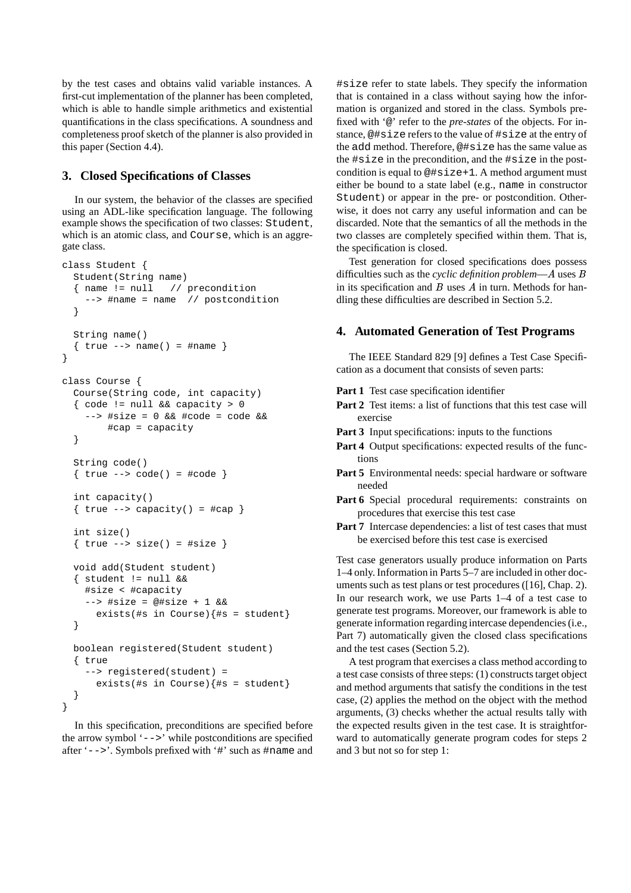by the test cases and obtains valid variable instances. A first-cut implementation of the planner has been completed, which is able to handle simple arithmetics and existential quantifications in the class specifications. A soundness and completeness proof sketch of the planner is also provided in this paper (Section 4.4).

## **3. Closed Specifications of Classes**

In our system, the behavior of the classes are specified using an ADL-like specification language. The following example shows the specification of two classes: Student, which is an atomic class, and Course, which is an aggregate class.

```
class Student {
  Student(String name)
  { name != null // precondition
    --> #name = name // postcondition
  }
  String name()
  { true --> name() = #name }
}
class Course {
  Course(String code, int capacity)
  { code != null && capacity > 0
    --> #size = 0 && #code = code &&
        #cap = capacity
  }
  String code()
  \{ true -- > code() = #code \}int capacity()
  { true --> capacity() = \#cap }
  int size()
  \{ true -- > size() = #size \}void add(Student student)
  { student != null &&
    #size < #capacity
    --> #size = @#size + 1 & &
      exists (#s in Course) {#s = student}
  }
  boolean registered(Student student)
  { true
    --> registered(student) =
      exists(#s in Course){#s = student}
  }
}
```
In this specification, preconditions are specified before the arrow symbol '-->' while postconditions are specified after '-->'. Symbols prefixed with '#' such as #name and #size refer to state labels. They specify the information that is contained in a class without saying how the information is organized and stored in the class. Symbols prefixed with '@' refer to the *pre-states* of the objects. For instance, @#size refers to the value of #size at the entry of the add method. Therefore, @#size has the same value as the #size in the precondition, and the #size in the postcondition is equal to  $@#size+1$ . A method argument must either be bound to a state label (e.g., name in constructor Student) or appear in the pre- or postcondition. Otherwise, it does not carry any useful information and can be discarded. Note that the semantics of all the methods in the two classes are completely specified within them. That is, the specification is closed.

Test generation for closed specifications does possess difficulties such as the *cyclic definition problem*—A uses <sup>B</sup> in its specification and  $B$  uses  $A$  in turn. Methods for handling these difficulties are described in Section 5.2.

# **4. Automated Generation of Test Programs**

The IEEE Standard 829 [9] defines a Test Case Specification as a document that consists of seven parts:

- **Part 1** Test case specification identifier
- **Part 2** Test items: a list of functions that this test case will exercise
- Part 3 Input specifications: inputs to the functions
- **Part 4** Output specifications: expected results of the functions
- **Part 5** Environmental needs: special hardware or software needed
- Part 6 Special procedural requirements: constraints on procedures that exercise this test case
- Part 7 Intercase dependencies: a list of test cases that must be exercised before this test case is exercised

Test case generators usually produce information on Parts 1–4 only. Information in Parts 5–7 are included in other documents such as test plans or test procedures ([16], Chap. 2). In our research work, we use Parts 1–4 of a test case to generate test programs. Moreover, our framework is able to generate information regarding intercase dependencies (i.e., Part 7) automatically given the closed class specifications and the test cases (Section 5.2).

A test program that exercises a class method according to a test case consists of three steps: (1) constructs target object and method arguments that satisfy the conditions in the test case, (2) applies the method on the object with the method arguments, (3) checks whether the actual results tally with the expected results given in the test case. It is straightforward to automatically generate program codes for steps 2 and 3 but not so for step 1: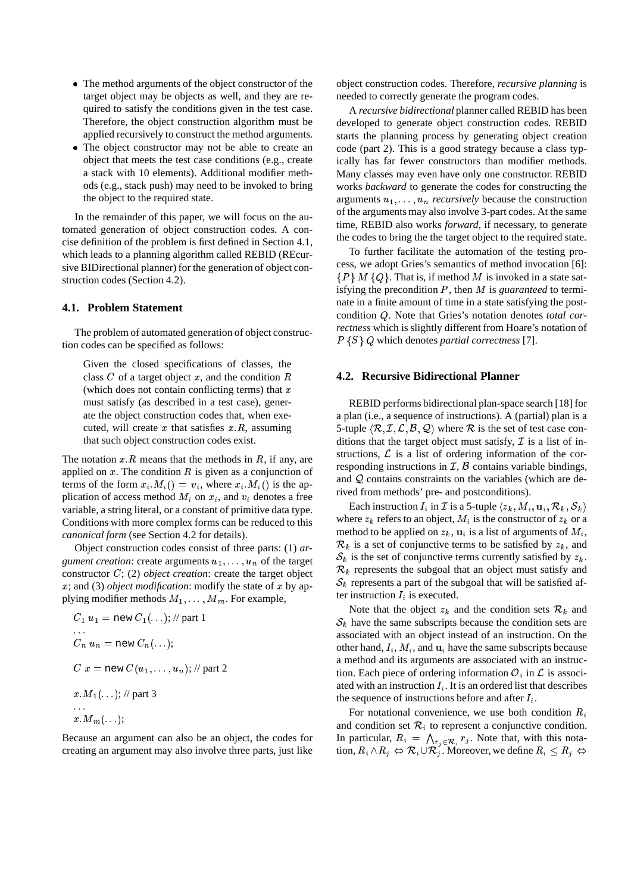- The method arguments of the object constructor of the target object may be objects as well, and they are required to satisfy the conditions given in the test case. Therefore, the object construction algorithm must be applied recursively to construct the method arguments.
- The object constructor may not be able to create an object that meets the test case conditions (e.g., create a stack with 10 elements). Additional modifier methods (e.g., stack push) may need to be invoked to bring the object to the required state.

In the remainder of this paper, we will focus on the automated generation of object construction codes. A concise definition of the problem is first defined in Section 4.1, which leads to a planning algorithm called REBID (REcursive BIDirectional planner) for the generation of object construction codes (Section 4.2).

#### **4.1. Problem Statement**

The problem of automated generation of object construction codes can be specified as follows:

Given the closed specifications of classes, the class  $C$  of a target object  $x$ , and the condition  $R$ (which does not contain conflicting terms) that  $x$ must satisfy (as described in a test case), generate the object construction codes that, when executed, will create x that satisfies  $x.R$ , assuming that such object construction codes exist.

The notation  $x.R$  means that the methods in  $R$ , if any, are applied on  $x$ . The condition  $R$  is given as a conjunction of terms of the form  $x_i \cdot M_i() = v_i$ , where  $x_i \cdot M_i()$  is the application of access method  $M_i$  on  $x_i$ , and  $v_i$  denotes a free variable, a string literal, or a constant of primitive data type. Conditions with more complex forms can be reduced to this *canonical form* (see Section 4.2 for details).

Object construction codes consist of three parts: (1) *argument creation*: create arguments  $u_1, \ldots, u_n$  of the target constructor C; (2) *object creation*: create the target object <sup>x</sup>; and (3) *object modification*: modify the state of <sup>x</sup> by applying modifier methods  $M_1, \ldots, M_m$ . For example,

$$
C_1 u_1 = new C_1(\ldots); // part 1
$$
  
\n...  
\n
$$
C_n u_n = new C_n(\ldots);
$$
  
\n
$$
C x = new C(u_1, \ldots, u_n); // part 2
$$
  
\n
$$
x.M_1(\ldots); // part 3
$$
  
\n...  
\n
$$
x.M_m(\ldots);
$$

Because an argument can also be an object, the codes for creating an argument may also involve three parts, just like object construction codes. Therefore, *recursive planning* is needed to correctly generate the program codes.

A *recursive bidirectional* planner called REBID has been developed to generate object construction codes. REBID starts the planning process by generating object creation code (part 2). This is a good strategy because a class typically has far fewer constructors than modifier methods. Many classes may even have only one constructor. REBID works *backward* to generate the codes for constructing the arguments  $u_1, \ldots, u_n$  *recursively* because the construction of the arguments may also involve 3-part codes. At the same time, REBID also works *forward*, if necessary, to generate the codes to bring the the target object to the required state.

To further facilitate the automation of the testing process, we adopt Gries's semantics of method invocation [6]:  $\{P\} M \{Q\}$ . That is, if method M is invoked in a state satisfying the precondition  $P$ , then  $M$  is *guaranteed* to terminate in a finite amount of time in a state satisfying the postcondition Q. Note that Gries's notation denotes *total correctness* which is slightly different from Hoare's notation of  $P \{S\} Q$  which denotes *partial correctness* [7].

## **4.2. Recursive Bidirectional Planner**

REBID performs bidirectional plan-space search [18] for a plan (i.e., a sequence of instructions). A (partial) plan is a 5-tuple  $\langle \mathcal{R}, \mathcal{I}, \mathcal{L}, \mathcal{B}, \mathcal{Q} \rangle$  where  $\mathcal{R}$  is the set of test case conditions that the target object must satisfy,  $\mathcal I$  is a list of instructions,  $\mathcal L$  is a list of ordering information of the corresponding instructions in  $\mathcal{I}, \mathcal{B}$  contains variable bindings, and <sup>Q</sup> contains constraints on the variables (which are derived from methods' pre- and postconditions).

Each instruction  $I_i$  in  $\mathcal I$  is a 5-tuple  $\langle z_k, M_i, \mathbf u_i, \mathcal R_k, \mathcal S_k \rangle$ where  $z_k$  refers to an object,  $M_i$  is the constructor of  $z_k$  or a method to be applied on  $z_k$ ,  $u_i$  is a list of arguments of  $M_i$ ,  $\mathcal{R}_k$  is a set of conjunctive terms to be satisfied by  $z_k$ , and  $S_k$  is the set of conjunctive terms currently satisfied by  $z_k$ .  $\mathcal{R}_k$  represents the subgoal that an object must satisfy and  $S_k$  represents a part of the subgoal that will be satisfied after instruction  $I_i$  is executed.

Note that the object  $z_k$  and the condition sets  $\mathcal{R}_k$  and  $S_k$  have the same subscripts because the condition sets are associated with an object instead of an instruction. On the other hand,  $I_i$ ,  $M_i$ , and  $u_i$  have the same subscripts because a method and its arguments are associated with an instruction. Each piece of ordering information  $\mathcal{O}_i$  in  $\mathcal L$  is associated with an instruction  $I_i$ . It is an ordered list that describes the sequence of instructions before and after  $I_i$ .

For notational convenience, we use both condition  $R_i$ and condition set  $\mathcal{R}_i$  to represent a conjunctive condition. In particular,  $R_i = \bigwedge$  $r_i \in \mathcal{R}_i$   $r_j$ . Note that, with this notation,  $R_i \wedge R_j \Leftrightarrow R_i \cup R_j$ . Moreover, we define  $R_i \leq R_j \Leftrightarrow$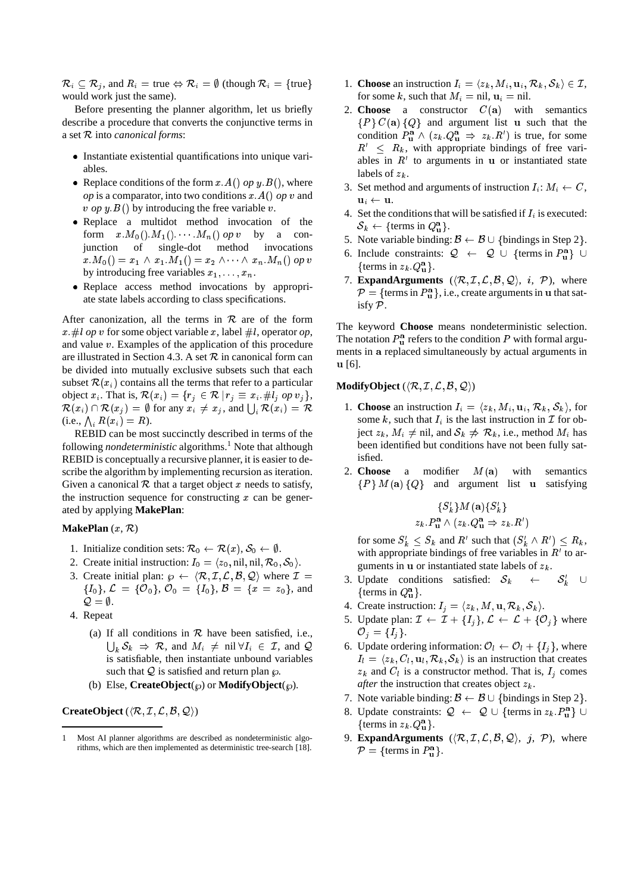$\mathcal{R}_i \subseteq \mathcal{R}_i$ , and  $R_i = \text{true} \Leftrightarrow \mathcal{R}_i = \emptyset$  (though  $\mathcal{R}_i = \{\text{true}\}\$ would work just the same).

Before presenting the planner algorithm, let us briefly describe a procedure that converts the conjunctive terms in a set <sup>R</sup> into *canonical forms*:

- Instantiate existential quantifications into unique variables.
- Replace conditions of the form  $x.A()$  *op*  $y.B(),$  where *op* is a comparator, into two conditions x:A() *op* <sup>v</sup> and  $v$  *op*  $y.B()$  by introducing the free variable  $v$ .
- Replace a multidot method invocation of the form  $x.M_0( ) . M_1( ) . \cdots . M_n( )$  *op* v by a conjunction of single-dot method invocations  $x.M_0() = x_1 \wedge x_1.M_1() = x_2 \wedge \cdots \wedge x_n.M_n()$  *op* v by introducing free variables  $x_1, \ldots, x_n$ .
- Replace access method invocations by appropriate state labels according to class specifications.

After canonization, all the terms in  $R$  are of the form  $x \neq l$  *op* v for some object variable x, label  $\neq l$ , operator *op*, and value <sup>v</sup>. Examples of the application of this procedure are illustrated in Section 4.3. A set  $R$  in canonical form can be divided into mutually exclusive subsets such that each subset  $\mathcal{R}(x_i)$  contains all the terms that refer to a particular object  $x_i$ . That is,  $\mathcal{R}(x_i) = \{r_j \in \mathcal{R} \mid r_j \equiv x_i + l_j \text{ or } v_j\},\$  $\mathcal{R}(x_i) \cap \mathcal{R}(x_j) = \emptyset$  for any  $x_i \neq x_j,$  and  $\bigcup_i \mathcal{R}(x_i) = \mathcal{R}$ (i.e.,  $\bigwedge_i R(x_i) = R$ ).

REBID can be most succinctly described in terms of the following *nondeterministic* algorithms.<sup>1</sup> Note that although REBID is conceptually a recursive planner, it is easier to describe the algorithm by implementing recursion as iteration. Given a canonical  $R$  that a target object x needs to satisfy, the instruction sequence for constructing  $x$  can be generated by applying **MakePlan**:

#### **MakePlan**  $(x, R)$

- 1. Initialize condition sets:  $\mathcal{R}_0 \leftarrow \mathcal{R}(x), \mathcal{S}_0 \leftarrow \emptyset$ .
- 2. Create initial instruction:  $I_0 = \langle z_0, \text{nil}, \text{nil}, \mathcal{R}_0, \mathcal{S}_0 \rangle$ .
- 3. Create initial plan:  $\wp \leftarrow \langle \mathcal{R}, \mathcal{I}, \mathcal{L}, \mathcal{B}, \mathcal{Q} \rangle$  where  $\mathcal{I} =$  ${I_0}, \mathcal{L} = {\emptyset_0}, \mathcal{O}_0 = {I_0}, \mathcal{B} = \{x = z_0\}$ , and  $\mathcal{Q} = \emptyset.$
- 4. Repeat
	- (a) If all conditions in  $R$  have been satisfied, i.e.,  $\bigcup_{k} \mathcal{S}_k \Rightarrow \mathcal{R}$ , and  $M_i \neq \text{nil } \forall I_i \in \mathcal{I}$ , and  $\mathcal{Q}$ is satisfiable, then instantiate unbound variables such that  $Q$  is satisfied and return plan  $\wp$ .
	- (b) Else, **CreateObject**( $\wp$ ) or **ModifyObject**( $\wp$ ).

**CreateObject** ( $\langle \mathcal{R}, \mathcal{I}, \mathcal{L}, \mathcal{B}, \mathcal{Q} \rangle$ )

- 1. **Choose** an instruction  $I_i = \langle z_k, M_i, \mathbf{u}_i, \mathcal{R}_k, \mathcal{S}_k \rangle \in \mathcal{I}$ , for some k, such that  $M_i = \text{nil}, u_i = \text{nil}.$
- 2. **Choose** a constructor  $C(\mathbf{a})$  with semantics  $\{P\} C(\mathbf{a}) \{Q\}$  and argument list u such that the condition  $P_{\mathbf{u}}^{\mathbf{a}} \wedge (z_k \cdot Q_{\mathbf{u}}^{\mathbf{a}} \Rightarrow z_k \cdot R')$  is true, for some  $R' < R_k$ , with appropriate bindings of free variables in  $R'$  to arguments in **u** or instantiated state labels of  $z_k$ .
- 3. Set method and arguments of instruction  $I_i: M_i \leftarrow C$ ,  $\mathbf{u}_i \leftarrow \mathbf{u}$ .
- 4. Set the conditions that will be satisfied if  $I_i$  is executed:  $S_k \leftarrow \{\text{terms in } Q_u^a\}.$
- 5. Note variable binding:  $\mathcal{B} \leftarrow \mathcal{B} \cup \{\text{bindings in Step 2}\}.$
- 6. Include constraints:  $Q \leftarrow Q \cup \{ \text{terms in } P_u^a \} \cup$ {terms in  $z_k$ .  $Q_u^a$  }.
- 7. **ExpandArguments**  $(\langle \mathcal{R}, \mathcal{I}, \mathcal{L}, \mathcal{B}, \mathcal{Q} \rangle, i, \mathcal{P})$ , where  $\mathcal{P} = \{$  terms in  $P_u^a\}$ , i.e., create arguments in u that satisfy <sup>P</sup>.

The keyword **Choose** means nondeterministic selection. The notation  $P_{\text{u}}^{\text{a}}$  refers to the condition P with formal arguments in <sup>a</sup> replaced simultaneously by actual arguments in <sup>u</sup> [6].

#### **ModifyObject**  $(\langle \mathcal{R}, \mathcal{I}, \mathcal{L}, \mathcal{B}, \mathcal{Q} \rangle)$

- 1. **Choose** an instruction  $I_i = \langle z_k, M_i, \mathbf{u}_i, \mathcal{R}_k, \mathcal{S}_k \rangle$ , for some k, such that  $I_i$  is the last instruction in  $\mathcal I$  for object  $z_k$ ,  $M_i \neq \text{nil}$ , and  $\mathcal{S}_k \neq \mathcal{R}_k$ , i.e., method  $M_i$  has been identified but conditions have not been fully satisfied.
- 2. **Choose** a modifier M(a) with semantics  $\{P\} M(\mathbf{a}) \{Q\}$  and argument list **u** satisfying

$$
{S'_k}M(\mathbf{a}){S'_k}
$$
  

$$
z_k.P_\mathbf{u}^\mathbf{a} \wedge (z_k.Q_\mathbf{u}^\mathbf{a} \Rightarrow z_k.R')
$$

for some  $S'_k \leq S_k$  and  $R'$  such that  $(S'_k \wedge R') \leq R_k$ , with appropriate bindings of free variables in  $R'$  to arguments in **u** or instantiated state labels of  $z_k$ .

- 3. Update conditions satisfied:  $S_k \leftarrow$  ${\cal S}'_k$  U {terms in  $Q_{\mathbf{u}}^{\mathbf{a}}$  }.
- 4. Create instruction:  $I_i = \langle z_k, M, \mathbf{u}, \mathcal{R}_k, \mathcal{S}_k \rangle$ .
- 5. Update plan:  $\mathcal{I} \leftarrow \mathcal{I} + \{I_j\}, \mathcal{L} \leftarrow \mathcal{L} + \{\mathcal{O}_j\}$  where  $\mathcal{O}_i = \{I_i\}.$
- 6. Update ordering information:  $\mathcal{O}_l \leftarrow \mathcal{O}_l + \{I_i\}$ , where  $I_l = \langle z_k , C_l , \mathbf{u}_l , \mathcal{R}_k , \mathcal{S}_k \rangle$  is an instruction that creates  $z_k$  and  $C_l$  is a constructor method. That is,  $I_j$  comes *after* the instruction that creates object  $z_k$ .
- 7. Note variable binding:  $\mathcal{B} \leftarrow \mathcal{B} \cup \{\text{bindings in Step 2}\}.$
- 8. Update constraints:  $Q \leftarrow Q \cup \{\text{terms in } z_k \cdot P_{\text{u}}^{\text{a}}\} \cup$ {terms in  $z_k$ .  $Q_u^a$  }.
- 9. **ExpandArguments**  $(\langle \mathcal{R}, \mathcal{I}, \mathcal{L}, \mathcal{B}, \mathcal{Q} \rangle, j, \mathcal{P})$ , where  $\mathcal{P} = \{$  terms in  $P_u^{\mathbf{a}}\}.$

<sup>1</sup> Most AI planner algorithms are described as nondeterministic algorithms, which are then implemented as deterministic tree-search [18].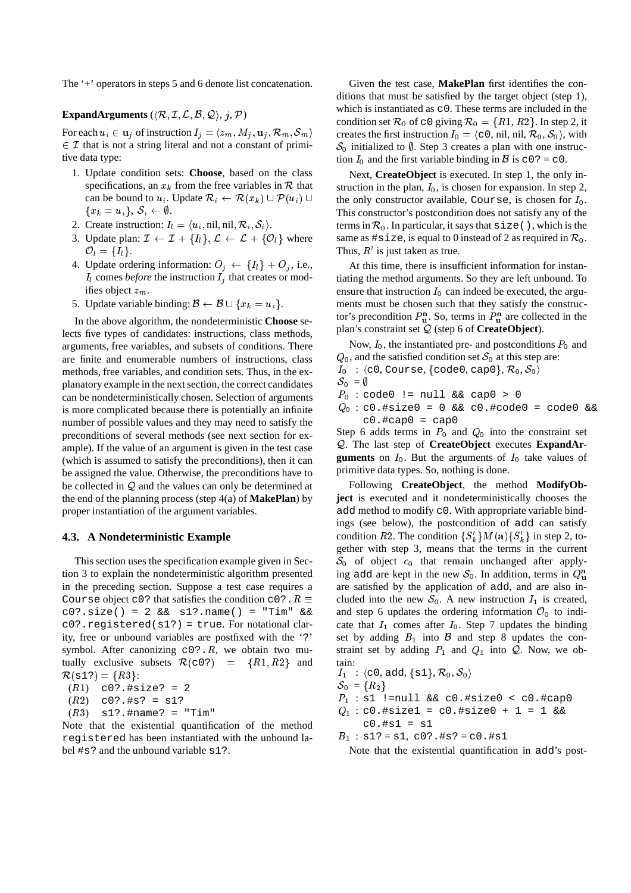The '+' operators in steps 5 and 6 denote list concatenation.

## **ExpandArguments** ( $\langle \mathcal{R}, \mathcal{I}, \mathcal{L}, \mathcal{B}, \mathcal{Q} \rangle$ , j, P)

For each  $u_i \in \mathbf{u}_j$  of instruction  $I_j = \langle z_m, M_j, \mathbf{u}_j, \mathcal{R}_m, \mathcal{S}_m \rangle$  $\in \mathcal{I}$  that is not a string literal and not a constant of primitive data type:

- 1. Update condition sets: **Choose**, based on the class specifications, an  $x_k$  from the free variables in  $R$  that can be bound to  $u_i$ . Update  $\mathcal{R}_i \leftarrow \mathcal{R}(x_k) \cup \mathcal{P}(u_i) \cup$  ${x_k = u_i}, S_i \leftarrow \emptyset.$
- 2. Create instruction:  $I_l = \langle u_i, \text{nil}, \text{nil}, \mathcal{R}_i, \mathcal{S}_i \rangle$ .
- 3. Update plan:  $\mathcal{I} \leftarrow \mathcal{I} + \{I_l\}, \mathcal{L} \leftarrow \mathcal{L} + \{\mathcal{O}_l\}$  where  $\mathcal{O}_l = \{I_l\}.$
- 4. Update ordering information:  $O_j \leftarrow \{I_l\} + O_j$ , i.e.,  $I_l$  comes *before* the instruction  $I_j$  that creates or modifies object  $z_m$ .
- 5. Update variable binding:  $\mathcal{B} \leftarrow \mathcal{B} \cup \{x_k = u_i\}.$

In the above algorithm, the nondeterministic **Choose** selects five types of candidates: instructions, class methods, arguments, free variables, and subsets of conditions. There are finite and enumerable numbers of instructions, class methods, free variables, and condition sets. Thus, in the explanatory example in the next section, the correct candidates can be nondeterministically chosen. Selection of arguments is more complicated because there is potentially an infinite number of possible values and they may need to satisfy the preconditions of several methods (see next section for example). If the value of an argument is given in the test case (which is assumed to satisfy the preconditions), then it can be assigned the value. Otherwise, the preconditions have to be collected in <sup>Q</sup> and the values can only be determined at the end of the planning process (step 4(a) of **MakePlan**) by proper instantiation of the argument variables.

#### **4.3. A Nondeterministic Example**

This section uses the specification example given in Section 3 to explain the nondeterministic algorithm presented in the preceding section. Suppose a test case requires a Course object c0? that satisfies the condition c0?  $\cdot$  R  $\equiv$  $c0?.size() = 2 & & $1?.name() = "Tim" &$ c0?.registered(s1?) = true. For notational clarity, free or unbound variables are postfixed with the '?' symbol. After canonizing  $c0$ ?. R, we obtain two mutually exclusive subsets  $\mathcal{R}(\text{c0.2}) = \{R1, R2\}$  and  $R(\text{s1?}) = \{R3\}$ :

 $(R1)$  c0?.#size? = 2

```
(R2) c0?.#s? = s1?
```
 $(R3)$  s1?.#name? = "Tim"

Note that the existential quantification of the method registered has been instantiated with the unbound label #s? and the unbound variable s1?.

Given the test case, **MakePlan** first identifies the conditions that must be satisfied by the target object (step 1), which is instantiated as c0. These terms are included in the condition set  $\mathcal{R}_0$  of c0 giving  $\mathcal{R}_0 = \{R1, R2\}$ . In step 2, it creates the first instruction  $I_0 = \langle c0, \text{nil}, \text{nil}, \mathcal{R}_0, \mathcal{S}_0 \rangle$ , with  $S_0$  initialized to  $\emptyset$ . Step 3 creates a plan with one instruction  $I_0$  and the first variable binding in  $\beta$  is  $c_0$ ? = c0.

Next, **CreateObject** is executed. In step 1, the only instruction in the plan,  $I_0$ , is chosen for expansion. In step 2, the only constructor available, Course, is chosen for  $I_0$ . This constructor's postcondition does not satisfy any of the terms in  $\mathcal{R}_0$ . In particular, it says that  $size($ ), which is the same as #size, is equal to 0 instead of 2 as required in  $\mathcal{R}_0$ . Thus,  $R'$  is just taken as true.

At this time, there is insufficient information for instantiating the method arguments. So they are left unbound. To ensure that instruction  $I_0$  can indeed be executed, the arguments must be chosen such that they satisfy the constructor's precondition  $P_u^a$ . So, terms in  $P_u^a$  are collected in the plan's constraint set <sup>Q</sup> (step 6 of **CreateObject**).

Now,  $I_0$ , the instantiated pre- and postconditions  $P_0$  and  $Q_0$ , and the satisfied condition set  $S_0$  at this step are:  $I_0$  :  $\langle$ c0, Course, {code0, cap0},  $\mathcal{R}_0$ ,  $\mathcal{S}_0$ }

$$
{\cal S}_0\ =\emptyset
$$

 $P_0$  : code0 != null && cap0 > 0

 $Q_0$  : c0.#size0 = 0 && c0.#code0 = code0 &&  $c0.*cap0 = cap0$ 

Step 6 adds terms in  $P_0$  and  $Q_0$  into the constraint set <sup>Q</sup>. The last step of **CreateObject** executes **ExpandArguments** on  $I_0$ . But the arguments of  $I_0$  take values of primitive data types. So, nothing is done.

Following **CreateObject**, the method **ModifyObject** is executed and it nondeterministically chooses the add method to modify c0. With appropriate variable bindings (see below), the postcondition of add can satisfy condition R2. The condition  $\{S_k\}M(\mathbf{a})\{S_k\}$  in step 2, together with step 3, means that the terms in the current  $S_0$  of object  $c_0$  that remain unchanged after applying add are kept in the new  $S_0$ . In addition, terms in  $Q_n^a$ are satisfied by the application of add, and are also included into the new  $S_0$ . A new instruction  $I_1$  is created, and step 6 updates the ordering information  $\mathcal{O}_0$  to indicate that  $I_1$  comes after  $I_0$ . Step 7 updates the binding set by adding  $B_1$  into  $B$  and step 8 updates the constraint set by adding  $P_1$  and  $Q_1$  into  $Q$ . Now, we obtain:

- $I_1$  :  $\langle c0, \text{add}, \{s1\}, \mathcal{R}_0, \mathcal{S}_0 \rangle$  $S_0 = \{R_2\}$
- $P_1$  : s1 !=null && c0.#size0 < c0.#cap0
- $Q_1$  : c0.#size1 = c0.#size0 + 1 = 1 & &  $c0.*s1 = s1$
- $B_1$  : s1? = s1, c0?.#s? = c0.#s1

Note that the existential quantification in add's post-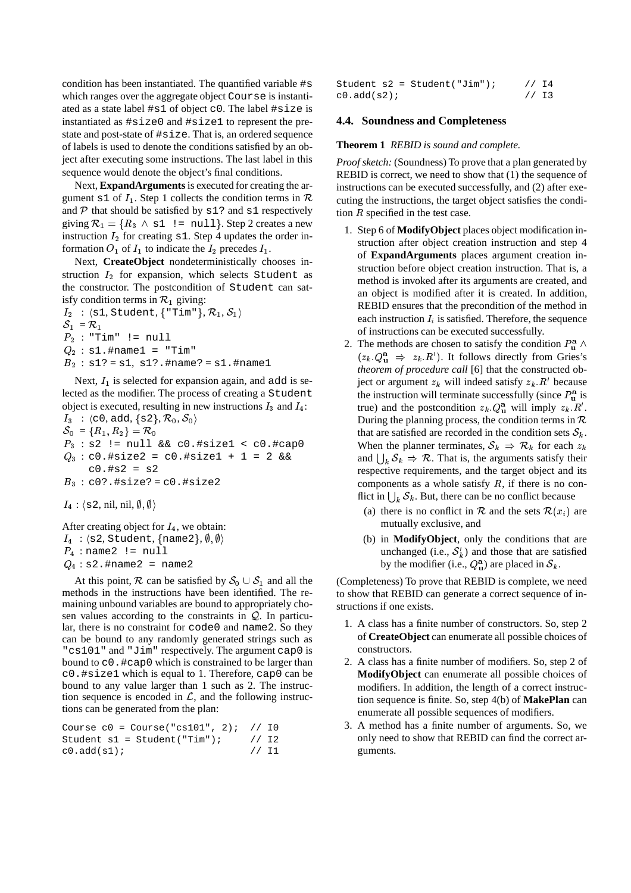condition has been instantiated. The quantified variable #s which ranges over the aggregate object Course is instantiated as a state label #s1 of object c0. The label #size is instantiated as #size0 and #size1 to represent the prestate and post-state of #size. That is, an ordered sequence of labels is used to denote the conditions satisfied by an object after executing some instructions. The last label in this sequence would denote the object's final conditions.

Next, **ExpandArguments**is executed for creating the argument s1 of  $I_1$ . Step 1 collects the condition terms in  $\mathcal R$ and  $\mathcal P$  that should be satisfied by  $\leq 1$ ? and  $\leq 1$  respectively giving  $\mathcal{R}_1 = \{R_3 \land s1 \mid s \in \text{null}\}.$  Step 2 creates a new instruction  $I_2$  for creating  $s1$ . Step 4 updates the order information  $O_1$  of  $I_1$  to indicate the  $I_2$  precedes  $I_1$ .

Next, **CreateObject** nondeterministically chooses instruction  $I_2$  for expansion, which selects Student as the constructor. The postcondition of Student can satisfy condition terms in  $\mathcal{R}_1$  giving:

```
I_2 : \langle s1, Student, \{ "Tim"\}, \mathcal{R}_1, \mathcal{S}_1)
S_1 = \mathcal{R}_1P_2 : "Tim" != null
Q_2 : s1.#name1 = "Tim"
B_2 : s1? = s1, s1?.#name? = s1.#name1
```
Next,  $I_1$  is selected for expansion again, and add is selected as the modifier. The process of creating a Student object is executed, resulting in new instructions  $I_3$  and  $I_4$ :  $I_3$ :  $\langle$  c0, add,  $\{s2\}, \mathcal{R}_0, \mathcal{S}_0\rangle$ 

```
S_0 = \{R_1, R_2\} = \mathcal{R}_0P_3 : s2 != null && c0.#size1 < c0.#cap0
Q_3 : c0.#size2 = c0.#size1 + 1 = 2 &&
    c0.*s2 = s2B_3 : c0?.#size? = c0.#size2
```

```
I_4: \langle s2, nil, nil, \emptyset, \emptyset
```
After creating object for  $I_4$ , we obtain:  $I_4$  :  $\langle$ s2, Student, {name2},  $\emptyset$ ,  $\emptyset$ }  $P_4$  : name2 != null  $Q_4$  : s2.#name2 = name2

At this point, R can be satisfied by  $S_0 \cup S_1$  and all the methods in the instructions have been identified. The remaining unbound variables are bound to appropriately chosen values according to the constraints in <sup>Q</sup>. In particular, there is no constraint for code0 and name2. So they can be bound to any randomly generated strings such as "cs101" and "Jim" respectively. The argument cap0 is bound to c0.#cap0 which is constrained to be larger than c0.#size1 which is equal to 1. Therefore, cap0 can be bound to any value larger than 1 such as 2. The instruction sequence is encoded in  $\mathcal{L}$ , and the following instructions can be generated from the plan:

| Course $c0 = Course("cs101", 2); // 10$ |       |  |
|-----------------------------------------|-------|--|
| Student $s1 = Student('Tim');$          | // I2 |  |
| c0.add(s1);                             | // I1 |  |

|             |  | Student $s2 = Student('Jim');$ | $1/1$ $14$ |  |
|-------------|--|--------------------------------|------------|--|
| c0.add(s2); |  |                                | 1/13       |  |

## **4.4. Soundness and Completeness**

## **Theorem 1** *REBID is sound and complete.*

*Proof sketch:* (Soundness) To prove that a plan generated by REBID is correct, we need to show that (1) the sequence of instructions can be executed successfully, and (2) after executing the instructions, the target object satisfies the condition  $R$  specified in the test case.

- 1. Step 6 of **ModifyObject** places object modification instruction after object creation instruction and step 4 of **ExpandArguments** places argument creation instruction before object creation instruction. That is, a method is invoked after its arguments are created, and an object is modified after it is created. In addition, REBID ensures that the precondition of the method in each instruction  $I_i$  is satisfied. Therefore, the sequence of instructions can be executed successfully.
- 2. The methods are chosen to satisfy the condition  $P_u^{\mathbf{a}} \wedge$  $(z_k \cdot Q_{\mathbf{u}}^{\mathbf{a}} \Rightarrow z_k \cdot R')$ . It follows directly from Gries's *theorem of procedure call* [6] that the constructed object or argument  $z_k$  will indeed satisfy  $z_k \cdot R'$  because the instruction will terminate successfully (since  $P_u^a$  is true) and the postcondition  $z_k \, Q_u^a$  will imply  $z_k \, R'$ . During the planning process, the condition terms in  $R$ that are satisfied are recorded in the condition sets  $S_k$ . When the planner terminates,  $S_k \Rightarrow \mathcal{R}_k$  for each  $z_k$ and  $\bigcup_k \mathcal{S}_k \Rightarrow \mathcal{R}$ . That is, the arguments satisfy their respective requirements, and the target object and its components as a whole satisfy  $R$ , if there is no conflict in  $\bigcup_k S_k$ . But, there can be no conflict because
	- (a) there is no conflict in  $R$  and the sets  $R(x_i)$  are mutually exclusive, and
	- (b) in **ModifyObject**, only the conditions that are unchanged (i.e.,  $S_k'$ ) and those that are satisfied by the modifier (i.e.,  $Q_{\mathbf{u}}^{\mathbf{a}}$ ) are placed in  $\mathcal{S}_k$ .

(Completeness) To prove that REBID is complete, we need to show that REBID can generate a correct sequence of instructions if one exists.

- 1. A class has a finite number of constructors. So, step 2 of **CreateObject** can enumerate all possible choices of constructors.
- 2. A class has a finite number of modifiers. So, step 2 of **ModifyObject** can enumerate all possible choices of modifiers. In addition, the length of a correct instruction sequence is finite. So, step 4(b) of **MakePlan** can enumerate all possible sequences of modifiers.
- 3. A method has a finite number of arguments. So, we only need to show that REBID can find the correct arguments.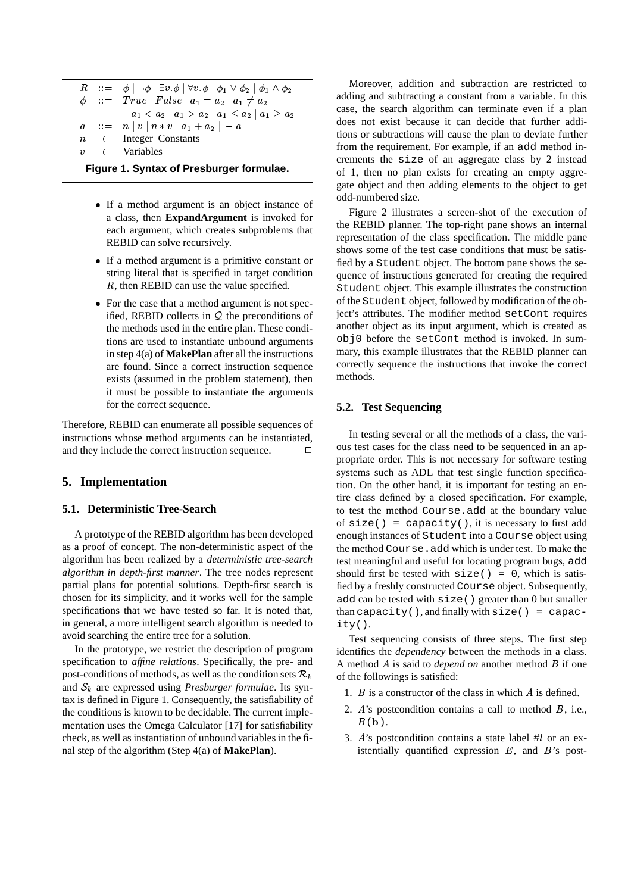|  | $R$ ::= $\phi$   $\neg \phi$   $\exists v.\phi$   $\forall v.\phi$   $\phi_1 \vee \phi_2$   $\phi_1 \wedge \phi_2$ |
|--|--------------------------------------------------------------------------------------------------------------------|
|  | $\phi$ ::= True   False   $a_1 = a_2$   $a_1 \neq a_2$                                                             |
|  | $ a_1 < a_2   a_1 > a_2   a_1 \le a_2   a_1 \ge a_2$                                                               |
|  | $a \quad ::= \quad n \mid v \mid n * v \mid a_1 + a_2 \mid -a$                                                     |
|  | $n \in$ Integer Constants                                                                                          |
|  | $v \in$ Variables                                                                                                  |

**Figure 1. Syntax of Presburger formulae.**

- If a method argument is an object instance of a class, then **ExpandArgument** is invoked for each argument, which creates subproblems that REBID can solve recursively.
- If a method argument is a primitive constant or string literal that is specified in target condition R, then REBID can use the value specified.
- For the case that a method argument is not specified, REBID collects in  $Q$  the preconditions of the methods used in the entire plan. These conditions are used to instantiate unbound arguments in step 4(a) of **MakePlan** after all the instructions are found. Since a correct instruction sequence exists (assumed in the problem statement), then it must be possible to instantiate the arguments for the correct sequence.

Therefore, REBID can enumerate all possible sequences of instructions whose method arguments can be instantiated, and they include the correct instruction sequence.  $\Box$ 

## **5. Implementation**

## **5.1. Deterministic Tree-Search**

A prototype of the REBID algorithm has been developed as a proof of concept. The non-deterministic aspect of the algorithm has been realized by a *deterministic tree-search algorithm in depth-first manner*. The tree nodes represent partial plans for potential solutions. Depth-first search is chosen for its simplicity, and it works well for the sample specifications that we have tested so far. It is noted that, in general, a more intelligent search algorithm is needed to avoid searching the entire tree for a solution.

In the prototype, we restrict the description of program specification to *affine relations*. Specifically, the pre- and post-conditions of methods, as well as the condition sets  $\mathcal{R}_k$ and  $S_k$  are expressed using *Presburger formulae*. Its syntax is defined in Figure 1. Consequently, the satisfiability of the conditions is known to be decidable. The current implementation uses the Omega Calculator [17] for satisfiability check, as well as instantiation of unbound variables in the final step of the algorithm (Step 4(a) of **MakePlan**).

Moreover, addition and subtraction are restricted to adding and subtracting a constant from a variable. In this case, the search algorithm can terminate even if a plan does not exist because it can decide that further additions or subtractions will cause the plan to deviate further from the requirement. For example, if an add method increments the size of an aggregate class by 2 instead of 1, then no plan exists for creating an empty aggregate object and then adding elements to the object to get odd-numbered size.

Figure 2 illustrates a screen-shot of the execution of the REBID planner. The top-right pane shows an internal representation of the class specification. The middle pane shows some of the test case conditions that must be satisfied by a Student object. The bottom pane shows the sequence of instructions generated for creating the required Student object. This example illustrates the construction of the Student object, followed by modification of the object's attributes. The modifier method setCont requires another object as its input argument, which is created as obj0 before the setCont method is invoked. In summary, this example illustrates that the REBID planner can correctly sequence the instructions that invoke the correct methods.

#### **5.2. Test Sequencing**

In testing several or all the methods of a class, the various test cases for the class need to be sequenced in an appropriate order. This is not necessary for software testing systems such as ADL that test single function specification. On the other hand, it is important for testing an entire class defined by a closed specification. For example, to test the method Course.add at the boundary value of  $size() = capacity(),$  it is necessary to first add enough instances of Student into a Course object using the method Course.add which is under test. To make the test meaningful and useful for locating program bugs, add should first be tested with  $size() = 0$ , which is satisfied by a freshly constructed Course object. Subsequently, add can be tested with size() greater than 0 but smaller than capacity(), and finally with  $size() = coarse$ ity().

Test sequencing consists of three steps. The first step identifies the *dependency* between the methods in a class. A method A is said to *depend on* another method <sup>B</sup> if one of the followings is satisfied:

- 1. <sup>B</sup> is a constructor of the class in which A is defined.
- 2. A's postcondition contains a call to method <sup>B</sup>, i.e.,  $B(b)$ .
- 3. A's postcondition contains a state label #l or an existentially quantified expression  $E$ , and  $B$ 's post-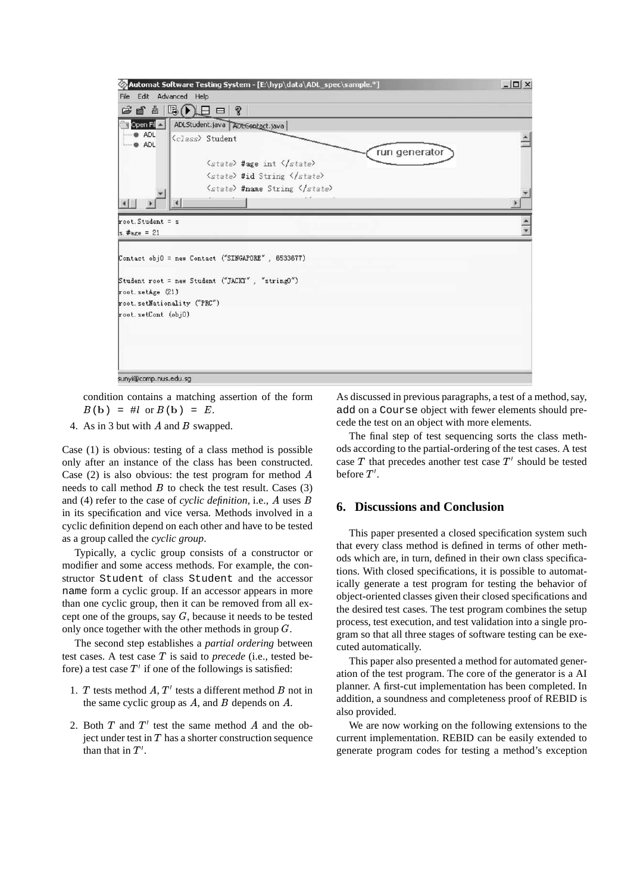

condition contains a matching assertion of the form  $B(b) = #l \text{ or } B(b) = E.$ 

4. As in 3 but with A and B swapped.

Case (1) is obvious: testing of a class method is possible only after an instance of the class has been constructed. Case  $(2)$  is also obvious: the test program for method A needs to call method  $B$  to check the test result. Cases  $(3)$ and (4) refer to the case of *cyclic definition*, i.e., A uses <sup>B</sup> in its specification and vice versa. Methods involved in a cyclic definition depend on each other and have to be tested as a group called the *cyclic group*.

Typically, a cyclic group consists of a constructor or modifier and some access methods. For example, the constructor Student of class Student and the accessor name form a cyclic group. If an accessor appears in more than one cyclic group, then it can be removed from all except one of the groups, say  $G$ , because it needs to be tested only once together with the other methods in group  $G$ .

The second step establishes a *partial ordering* between test cases. A test case <sup>T</sup> is said to *precede* (i.e., tested before) a test case  $T'$  if one of the followings is satisfied:

- 1. T tests method  $A, T'$  tests a different method  $B$  not in the same cyclic group as  $A$ , and  $B$  depends on  $A$ .
- 2. Both  $T$  and  $T'$  test the same method  $A$  and the object under test in  $T$  has a shorter construction sequence than that in  $T'$ .

As discussed in previous paragraphs, a test of a method, say, add on a Course object with fewer elements should precede the test on an object with more elements.

The final step of test sequencing sorts the class methods according to the partial-ordering of the test cases. A test case  $T$  that precedes another test case  $T'$  should be tested before  $T'$ .

# **6. Discussions and Conclusion**

This paper presented a closed specification system such that every class method is defined in terms of other methods which are, in turn, defined in their own class specifications. With closed specifications, it is possible to automatically generate a test program for testing the behavior of object-oriented classes given their closed specifications and the desired test cases. The test program combines the setup process, test execution, and test validation into a single program so that all three stages of software testing can be executed automatically.

This paper also presented a method for automated generation of the test program. The core of the generator is a AI planner. A first-cut implementation has been completed. In addition, a soundness and completeness proof of REBID is also provided.

We are now working on the following extensions to the current implementation. REBID can be easily extended to generate program codes for testing a method's exception